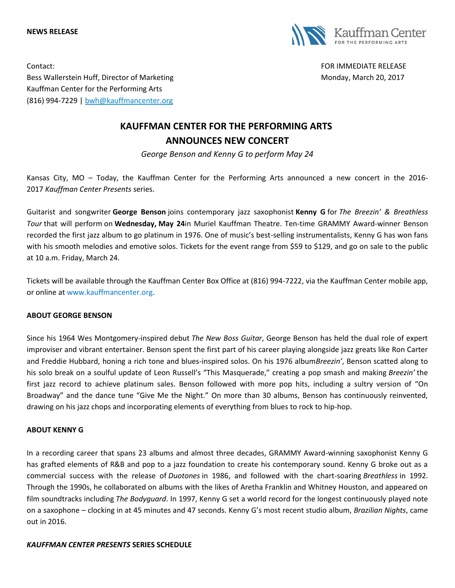**NEWS RELEASE**



Contact: FOR IMMEDIATE RELEASE Bess Wallerstein Huff, Director of Marketing Monday, Monday, March 20, 2017 Kauffman Center for the Performing Arts (816) 994-7229 | [bwh@kauffmancenter.org](mailto:bwh@kauffmancenter.org)

# **KAUFFMAN CENTER FOR THE PERFORMING ARTS ANNOUNCES NEW CONCERT**

*George Benson and Kenny G to perform May 24*

Kansas City, MO – Today, the Kauffman Center for the Performing Arts announced a new concert in the 2016- 2017 *Kauffman Center Presents* series.

Guitarist and songwriter **George Benson** joins contemporary jazz saxophonist **Kenny G** for *The Breezin' & Breathless Tour* that will perform on **Wednesday, May 24**in Muriel Kauffman Theatre. Ten-time GRAMMY Award-winner Benson recorded the first jazz album to go platinum in 1976. One of music's best-selling instrumentalists, Kenny G has won fans with his smooth melodies and emotive solos. Tickets for the event range from \$59 to \$129, and go on sale to the public at 10 a.m. Friday, March 24.

Tickets will be available through the Kauffman Center Box Office at (816) 994-7222, via the Kauffman Center mobile app, or online at [www.kauffmancenter.org.](http://www.kauffmancenter.org/)

## **ABOUT GEORGE BENSON**

Since his 1964 Wes Montgomery-inspired debut *The New Boss Guitar*, George Benson has held the dual role of expert improviser and vibrant entertainer. Benson spent the first part of his career playing alongside jazz greats like Ron Carter and Freddie Hubbard, honing a rich tone and blues-inspired solos. On his 1976 album*Breezin'*, Benson scatted along to his solo break on a soulful update of Leon Russell's "This Masquerade," creating a pop smash and making *Breezin'* the first jazz record to achieve platinum sales. Benson followed with more pop hits, including a sultry version of "On Broadway" and the dance tune "Give Me the Night." On more than 30 albums, Benson has continuously reinvented, drawing on his jazz chops and incorporating elements of everything from blues to rock to hip-hop.

## **ABOUT KENNY G**

In a recording career that spans 23 albums and almost three decades, GRAMMY Award-winning saxophonist Kenny G has grafted elements of R&B and pop to a jazz foundation to create his contemporary sound. Kenny G broke out as a commercial success with the release of *Duotones* in 1986, and followed with the chart-soaring *Breathless* in 1992. Through the 1990s, he collaborated on albums with the likes of Aretha Franklin and Whitney Houston, and appeared on film soundtracks including *The Bodyguard*. In 1997, Kenny G set a world record for the longest continuously played note on a saxophone – clocking in at 45 minutes and 47 seconds. Kenny G's most recent studio album, *Brazilian Nights*, came out in 2016.

## *KAUFFMAN CENTER PRESENTS* **SERIES SCHEDULE**